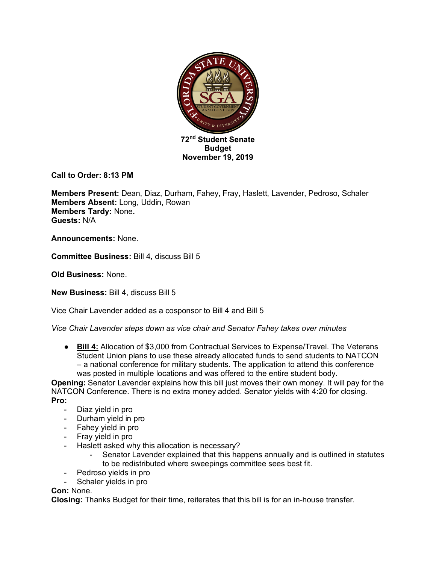

**Call to Order: 8:13 PM**

**Members Present:** Dean, Diaz, Durham, Fahey, Fray, Haslett, Lavender, Pedroso, Schaler **Members Absent:** Long, Uddin, Rowan **Members Tardy:** None**. Guests:** N/A

**Announcements:** None.

**Committee Business:** Bill 4, discuss Bill 5

**Old Business:** None.

**New Business:** Bill 4, discuss Bill 5

Vice Chair Lavender added as a cosponsor to Bill 4 and Bill 5

*Vice Chair Lavender steps down as vice chair and Senator Fahey takes over minutes* 

● **Bill 4:** Allocation of \$3,000 from Contractual Services to Expense/Travel. The Veterans Student Union plans to use these already allocated funds to send students to NATCON – a national conference for military students. The application to attend this conference was posted in multiple locations and was offered to the entire student body.

**Opening:** Senator Lavender explains how this bill just moves their own money. It will pay for the NATCON Conference. There is no extra money added. Senator yields with 4:20 for closing. **Pro:**

- Diaz yield in pro
- Durham yield in pro
- Fahey yield in pro
- Fray yield in pro
- Haslett asked why this allocation is necessary?
	- Senator Lavender explained that this happens annually and is outlined in statutes to be redistributed where sweepings committee sees best fit.
- Pedroso yields in pro
- Schaler yields in pro

# **Con:** None.

**Closing:** Thanks Budget for their time, reiterates that this bill is for an in-house transfer.